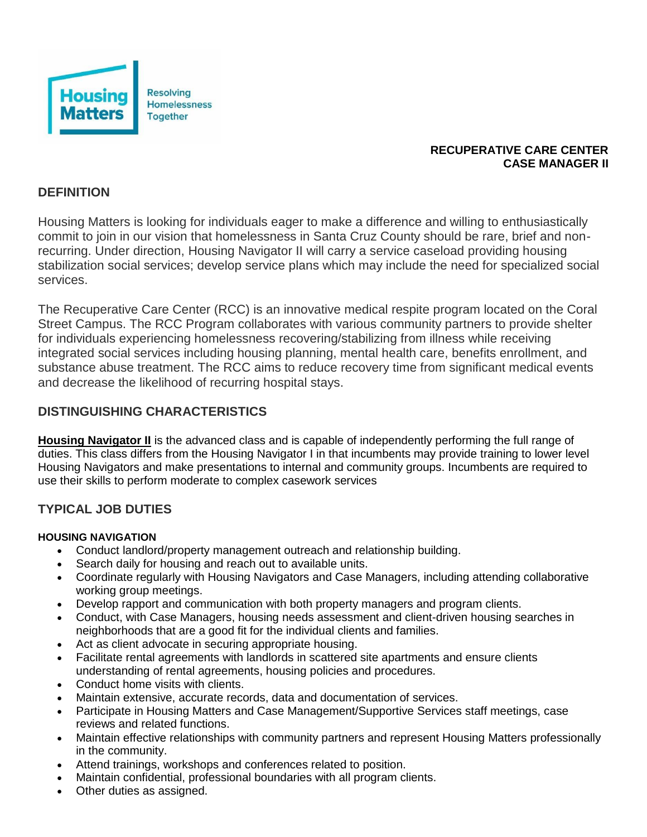

### **RECUPERATIVE CARE CENTER CASE MANAGER II**

## **DEFINITION**

Housing Matters is looking for individuals eager to make a difference and willing to enthusiastically commit to join in our vision that homelessness in Santa Cruz County should be rare, brief and nonrecurring. Under direction, Housing Navigator II will carry a service caseload providing housing stabilization social services; develop service plans which may include the need for specialized social services.

The Recuperative Care Center (RCC) is an innovative medical respite program located on the Coral Street Campus. The RCC Program collaborates with various community partners to provide shelter for individuals experiencing homelessness recovering/stabilizing from illness while receiving integrated social services including housing planning, mental health care, benefits enrollment, and substance abuse treatment. The RCC aims to reduce recovery time from significant medical events and decrease the likelihood of recurring hospital stays.

## **DISTINGUISHING CHARACTERISTICS**

**Housing Navigator II** is the advanced class and is capable of independently performing the full range of duties. This class differs from the Housing Navigator I in that incumbents may provide training to lower level Housing Navigators and make presentations to internal and community groups. Incumbents are required to use their skills to perform moderate to complex casework services

# **TYPICAL JOB DUTIES**

#### **HOUSING NAVIGATION**

- Conduct landlord/property management outreach and relationship building.
- Search daily for housing and reach out to available units.
- Coordinate regularly with Housing Navigators and Case Managers, including attending collaborative working group meetings.
- Develop rapport and communication with both property managers and program clients.
- Conduct, with Case Managers, housing needs assessment and client-driven housing searches in neighborhoods that are a good fit for the individual clients and families.
- Act as client advocate in securing appropriate housing.
- Facilitate rental agreements with landlords in scattered site apartments and ensure clients understanding of rental agreements, housing policies and procedures.
- Conduct home visits with clients.
- Maintain extensive, accurate records, data and documentation of services.
- Participate in Housing Matters and Case Management/Supportive Services staff meetings, case reviews and related functions.
- Maintain effective relationships with community partners and represent Housing Matters professionally in the community.
- Attend trainings, workshops and conferences related to position.
- Maintain confidential, professional boundaries with all program clients.
- Other duties as assigned.